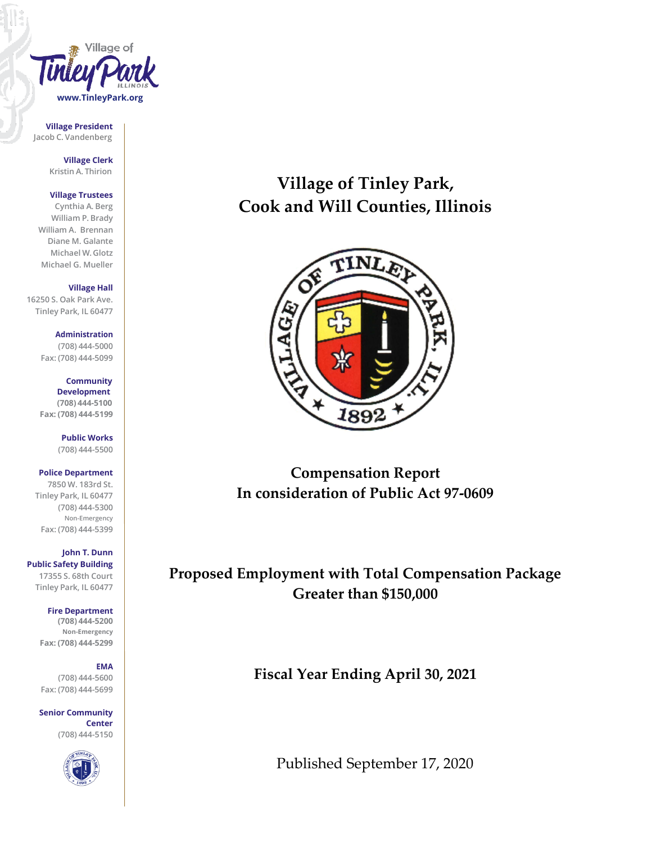

**Village President Jacob C. Vandenberg**

> **Village Clerk Kristin A. Thirion**

#### **Village Trustees**

**Cynthia A. Berg William P. Brady William A. Brennan Diane M. Galante Michael W. Glotz Michael G. Mueller**

**Village Hall**

**16250 S. Oak Park Ave. Tinley Park, IL 60477**

> **Administration (708) 444-5000 Fax: (708) 444-5099**

**Community Development (708) 444-5100 Fax: (708) 444-5199**

> **Public Works (708) 444-5500**

**Police Department**

**7850 W. 183rd St. Tinley Park, IL 60477 (708) 444-5300 Non-Emergency Fax: (708) 444-5399**

**John T. Dunn Public Safety Building 17355 S. 68th Court Tinley Park, IL 60477**

**Fire Department**

**(708) 444-5200 Non-Emergency Fax: (708) 444-5299**

#### **EMA**

**(708) 444-5600 Fax: (708) 444-5699**

**Senior Community Center (708) 444-5150**



# **Village of Tinley Park, Cook and Will Counties, Illinois**



**Compensation Report In consideration of Public Act 97-0609**

**Proposed Employment with Total Compensation Package Greater than \$150,000**

**Fiscal Year Ending April 30, 2021**

Published September 17, 2020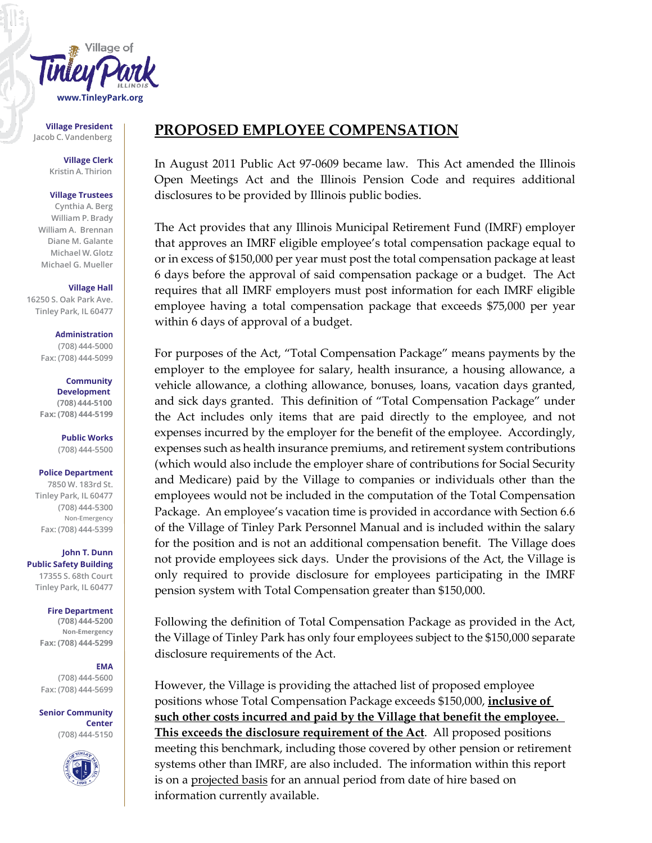

**Village President**

**Village Clerk Kristin A. Thirion**

#### **Village Trustees**

**Cynthia A. Berg William P. Brady William A. Brennan Diane M. Galante Michael W. Glotz Michael G. Mueller**

#### **Village Hall**

**16250 S. Oak Park Ave. Tinley Park, IL 60477**

> **Administration (708) 444-5000**

**Fax: (708) 444-5099**

#### **Community Development (708) 444-5100**

**Fax: (708) 444-5199**

**Public Works (708) 444-5500**

#### **Police Department**

**7850 W. 183rd St. Tinley Park, IL 60477 (708) 444-5300 Non-Emergency Fax: (708) 444-5399**

**John T. Dunn Public Safety Building 17355 S. 68th Court Tinley Park, IL 60477**

> **Fire Department (708) 444-5200 Non-Emergency Fax: (708) 444-5299**

### **EMA**

**(708) 444-5600 Fax: (708) 444-5699**

**Senior Community Center (708) 444-5150**



## Village President **PROPOSED EMPLOYEE COMPENSATION**

In August 2011 Public Act 97-0609 became law. This Act amended the Illinois Open Meetings Act and the Illinois Pension Code and requires additional disclosures to be provided by Illinois public bodies.

The Act provides that any Illinois Municipal Retirement Fund (IMRF) employer that approves an IMRF eligible employee's total compensation package equal to or in excess of \$150,000 per year must post the total compensation package at least 6 days before the approval of said compensation package or a budget. The Act requires that all IMRF employers must post information for each IMRF eligible employee having a total compensation package that exceeds \$75,000 per year within 6 days of approval of a budget.

For purposes of the Act, "Total Compensation Package" means payments by the employer to the employee for salary, health insurance, a housing allowance, a vehicle allowance, a clothing allowance, bonuses, loans, vacation days granted, and sick days granted. This definition of "Total Compensation Package" under the Act includes only items that are paid directly to the employee, and not expenses incurred by the employer for the benefit of the employee. Accordingly, expenses such as health insurance premiums, and retirement system contributions (which would also include the employer share of contributions for Social Security and Medicare) paid by the Village to companies or individuals other than the employees would not be included in the computation of the Total Compensation Package. An employee's vacation time is provided in accordance with Section 6.6 of the Village of Tinley Park Personnel Manual and is included within the salary for the position and is not an additional compensation benefit. The Village does not provide employees sick days. Under the provisions of the Act, the Village is only required to provide disclosure for employees participating in the IMRF pension system with Total Compensation greater than \$150,000.

Following the definition of Total Compensation Package as provided in the Act, the Village of Tinley Park has only four employees subject to the \$150,000 separate disclosure requirements of the Act.

However, the Village is providing the attached list of proposed employee positions whose Total Compensation Package exceeds \$150,000, **inclusive of such other costs incurred and paid by the Village that benefit the employee. This exceeds the disclosure requirement of the Act**. All proposed positions meeting this benchmark, including those covered by other pension or retirement systems other than IMRF, are also included. The information within this report is on a projected basis for an annual period from date of hire based on information currently available.